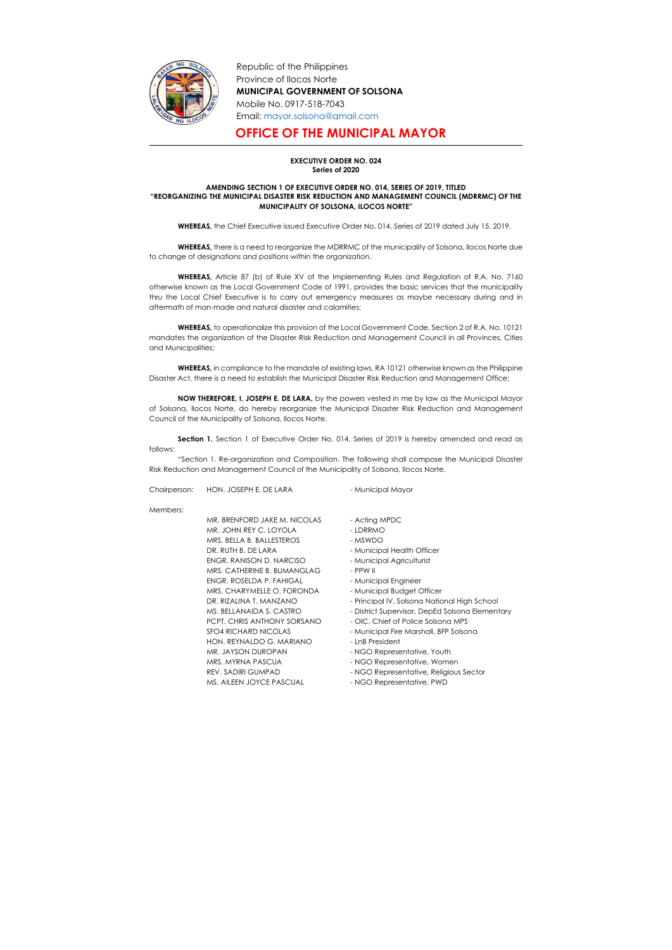

Republic of the Philippines Province of Ilocos Norte MUNICIPAL GOVERNMENT OF SOLSONA Mobile No. 0917-518-7043 Email: mayor.solsona@gmail.com

## OFFICE OF THE MUNICIPAL MAYOR

## EXECUTIVE ORDER NO. 024 Series of 2020

## AMENDING SECTION 1 OF EXECUTIVE ORDER NO. 014, SERIES OF 2019, TITLED "REORGANIZING THE MUNICIPAL DISASTER RISK REDUCTION AND MANAGEMENT COUNCIL (MDRRMC) OF THE MUNICIPALITY OF SOLSONA, ILOCOS NORTE"

WHEREAS, the Chief Executive issued Executive Order No. 014, Series of 2019 dated July 15, 2019.

WHEREAS, there is a need to reorganize the MDRRMC of the municipality of Solsona, Ilocos Norte due to change of designations and positions within the organization.

WHEREAS, in compliance to the mandate of existing laws, RA 10121 otherwise known as the Philippine Disaster Act, there is a need to establish the Municipal Disaster Risk Reduction and Management Office;

NOW THEREFORE, I, JOSEPH E. DE LARA, by the powers vested in me by law as the Municipal Mayor of Solsona, Ilocos Norte, do hereby reorganize the Municipal Disaster Risk Reduction and Management Council of the Municipality of Solsona, Ilocos Norte.

WHEREAS, Article 87 (b) of Rule XV of the Implementing Rules and Regulation of R.A. No. 7160 otherwise known as the Local Government Code of 1991, provides the basic services that the municipality thru the Local Chief Executive is to carry out emergency measures as maybe necessary during and in aftermath of man-made and natural disaster and calamities;

Section 1. Section 1 of Executive Order No. 014, Series of 2019 is hereby amended and read as follows:

WHEREAS, to operationalize this provision of the Local Government Code, Section 2 of R.A. No. 10121 mandates the organization of the Disaster Risk Reduction and Management Council in all Provinces, Cities and Municipalities;

"Section 1. Re-organization and Composition. The following shall compose the Municipal Disaster Risk Reduction and Management Council of the Municipality of Solsona, Ilocos Norte.

Chairperson: HON. JOSEPH E. DE LARA - Municipal Mayor

Members:

MR. BRENFORD JAKE M. NICOLAS - Acting MPDC MR. JOHN REY C. LOYOLA - LDRRMO MRS. BELLA B. BALLESTEROS - MSWDO DR. RUTH B. DE LARA - Municipal Health Officer ENGR. RANISON D. NARCISO - Municipal Agriculturist MRS. CATHERINE B. BUMANGLAG - PPW II ENGR. ROSELDA P. FAHIGAL - Municipal Engineer MRS. CHARYMELLE O. FORONDA - Municipal Budget Officer DR. RIZALINA T. MANZANO - Principal IV, Solsona National High School MS. BELLANAIDA S. CASTRO - District Supervisor, DepEd Solsona Elementary PCPT. CHRIS ANTHONY SORSANO - OIC, Chief of Police Solsona MPS SFO4 RICHARD NICOLAS - Municipal Fire Marshall, BFP Solsona HON. REYNALDO G. MARIANO - LnB President MR. JAYSON DUROPAN - NGO Representative, Youth MRS. MYRNA PASCUA - NGO Representative, Women REV. SADIRI GUMPAD - NGO Representative, Religious Sector MS. AILEEN JOYCE PASCUAL - NGO Representative, PWD

- 
- 
- 
- 
- 
- 
- 
- 
- 
- 
- 
- 
- 
- 
- 
- 
-